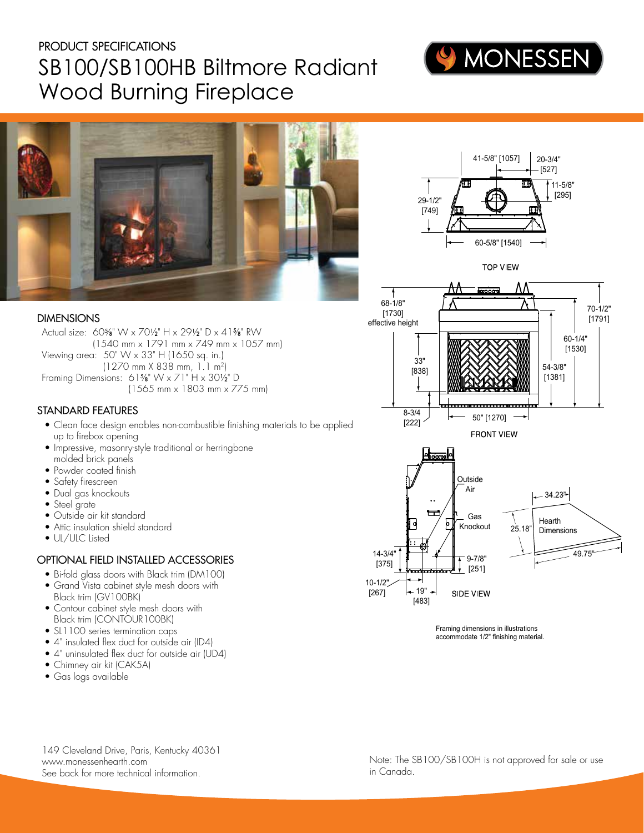# PRODUCT SPECIFICATIONS SB100/SB100HB Biltmore Radiant Wood Burning Fireplace



20-3/4" [527] 11-5/8"



#### DIMENSIONS

Actual size: 605⁄8" W x 701⁄2" H x 291⁄2" D x 415 ⁄8" RW (1540 mm x 1791 mm x 749 mm x 1057 mm) Viewing area: 50" W x 33" H (1650 sq. in.) (1270 mm X 838 mm, 1.1 m2) Framing Dimensions: 615⁄8" W x 71" H x 301⁄2" D (1565 mm x 1803 mm x 775 mm)

# STANDARD FEATURES

- Clean face design enables non-combustible finishing materials to be applied up to firebox opening
- Impressive, masonry-style traditional or herringbone molded brick panels
- Powder coated finish
- Safety firescreen
- Dual gas knockouts
- Steel grate
- Outside air kit standard
- Attic insulation shield standard
- UL/ULC Listed

# OPTIONAL FIELD INSTALLED ACCESSORIES

- Bi-fold glass doors with Black trim (DM100)
- Grand Vista cabinet style mesh doors with Black trim (GV100BK)
- Contour cabinet style mesh doors with Black trim (CONTOUR100BK)
- SL1100 series termination caps
- 4" insulated flex duct for outside air (ID4)
- 4" uninsulated flex duct for outside air (UD4)
- Chimney air kit (CAK5A)
- Gas logs available



 $29-1/2$ "  $\sqrt{25}$   $\sqrt{25}$  [295]

41-5/8" [1057]



Framing dimensions in illustrations accommodate 1/2" finishing material.

149 Cleveland Drive, Paris, Kentucky 40361 www.monessenhearth.com See back for more technical information.

Note: The SB100/SB100H is not approved for sale or use in Canada.